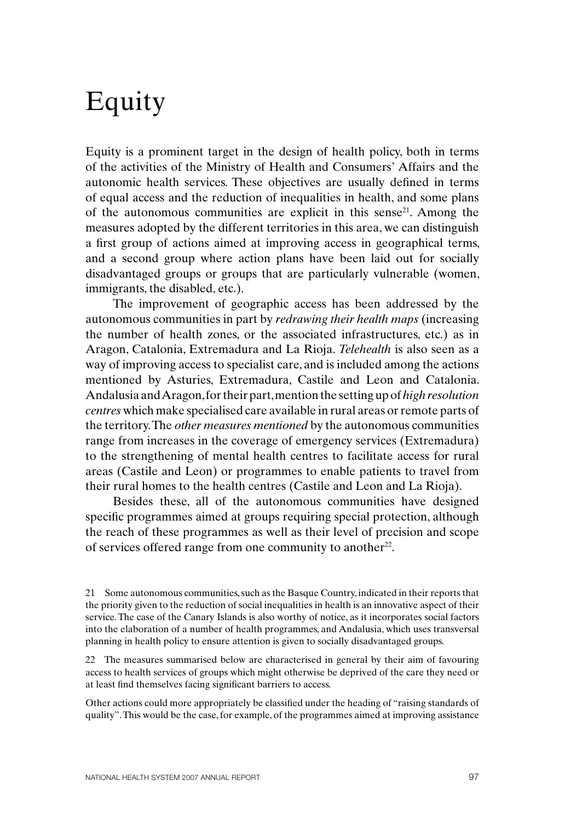## Equity

Equity is a prominent target in the design of health policy, both in terms of the activities of the Ministry of Health and Consumers' Affairs and the autonomic health services. These objectives are usually defined in terms of equal access and the reduction of inequalities in health, and some plans of the autonomous communities are explicit in this sense<sup>21</sup>. Among the measures adopted by the different territories in this area, we can distinguish a first group of actions aimed at improving access in geographical terms, and a second group where action plans have been laid out for socially disadvantaged groups or groups that are particularly vulnerable (women, immigrants, the disabled, etc.).

The improvement of geographic access has been addressed by the autonomous communities in part by *redrawing their health maps* (increasing the number of health zones, or the associated infrastructures, etc.) as in Aragon, Catalonia, Extremadura and La Rioja. *Telehealth* is also seen as a way of improving access to specialist care, and is included among the actions mentioned by Asturies, Extremadura, Castile and Leon and Catalonia. Andalusia and Aragon, for their part, mention the setting up of *high resolution centres* which make specialised care available in rural areas or remote parts of the territory. The *other measures mentioned* by the autonomous communities range from increases in the coverage of emergency services (Extremadura) to the strengthening of mental health centres to facilitate access for rural areas (Castile and Leon) or programmes to enable patients to travel from their rural homes to the health centres (Castile and Leon and La Rioja).

Besides these, all of the autonomous communities have designed specific programmes aimed at groups requiring special protection, although the reach of these programmes as well as their level of precision and scope of services offered range from one community to another<sup>22</sup>.

21 Some autonomous communities, such as the Basque Country, indicated in their reports that the priority given to the reduction of social inequalities in health is an innovative aspect of their service. The case of the Canary Islands is also worthy of notice, as it incorporates social factors into the elaboration of a number of health programmes, and Andalusia, which uses transversal planning in health policy to ensure attention is given to socially disadvantaged groups.

22 The measures summarised below are characterised in general by their aim of favouring access to health services of groups which might otherwise be deprived of the care they need or at least find themselves facing significant barriers to access.

Other actions could more appropriately be classified under the heading of "raising standards of quality". This would be the case, for example, of the programmes aimed at improving assistance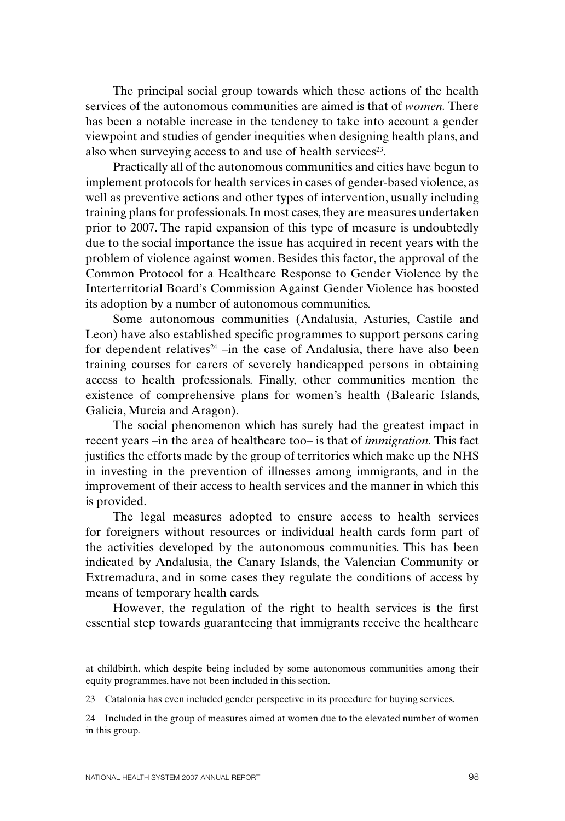The principal social group towards which these actions of the health services of the autonomous communities are aimed is that of *women.* There has been a notable increase in the tendency to take into account a gender viewpoint and studies of gender inequities when designing health plans, and also when surveying access to and use of health services<sup>23</sup>.

Practically all of the autonomous communities and cities have begun to implement protocols for health services in cases of gender-based violence, as well as preventive actions and other types of intervention, usually including training plans for professionals. In most cases, they are measures undertaken prior to 2007. The rapid expansion of this type of measure is undoubtedly due to the social importance the issue has acquired in recent years with the problem of violence against women. Besides this factor, the approval of the Common Protocol for a Healthcare Response to Gender Violence by the Interterritorial Board's Commission Against Gender Violence has boosted its adoption by a number of autonomous communities.

Some autonomous communities (Andalusia, Asturies, Castile and Leon) have also established specific programmes to support persons caring for dependent relatives<sup>24</sup> –in the case of Andalusia, there have also been training courses for carers of severely handicapped persons in obtaining access to health professionals. Finally, other communities mention the existence of comprehensive plans for women's health (Balearic Islands, Galicia, Murcia and Aragon).

The social phenomenon which has surely had the greatest impact in recent years –in the area of healthcare too– is that of *immigration.* This fact justifies the efforts made by the group of territories which make up the NHS in investing in the prevention of illnesses among immigrants, and in the improvement of their access to health services and the manner in which this is provided.

The legal measures adopted to ensure access to health services for foreigners without resources or individual health cards form part of the activities developed by the autonomous communities. This has been indicated by Andalusia, the Canary Islands, the Valencian Community or Extremadura, and in some cases they regulate the conditions of access by means of temporary health cards.

However, the regulation of the right to health services is the first essential step towards guaranteeing that immigrants receive the healthcare

at childbirth, which despite being included by some autonomous communities among their equity programmes, have not been included in this section.

<sup>23</sup> Catalonia has even included gender perspective in its procedure for buying services.

<sup>24</sup> Included in the group of measures aimed at women due to the elevated number of women in this group.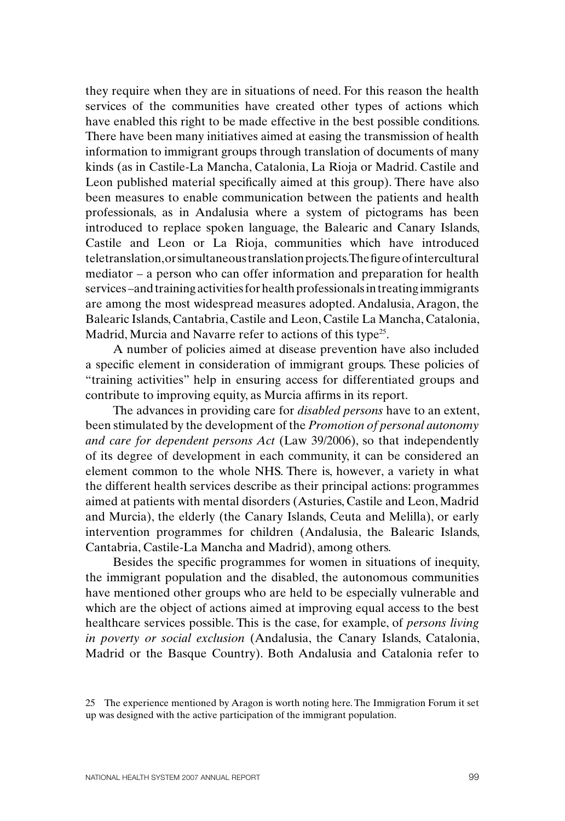they require when they are in situations of need. For this reason the health services of the communities have created other types of actions which have enabled this right to be made effective in the best possible conditions. There have been many initiatives aimed at easing the transmission of health information to immigrant groups through translation of documents of many kinds (as in Castile-La Mancha, Catalonia, La Rioja or Madrid. Castile and Leon published material specifically aimed at this group). There have also been measures to enable communication between the patients and health professionals, as in Andalusia where a system of pictograms has been introduced to replace spoken language, the Balearic and Canary Islands, Castile and Leon or La Rioja, communities which have introduced teletranslation, or simultaneous translation projects. The figure of intercultural mediator – a person who can offer information and preparation for health services –and training activities for health professionals in treating immigrants are among the most widespread measures adopted. Andalusia, Aragon, the Balearic Islands, Cantabria, Castile and Leon, Castile La Mancha, Catalonia, Madrid, Murcia and Navarre refer to actions of this type<sup>25</sup>.

A number of policies aimed at disease prevention have also included a specific element in consideration of immigrant groups. These policies of "training activities" help in ensuring access for differentiated groups and contribute to improving equity, as Murcia affirms in its report.

The advances in providing care for *disabled persons* have to an extent, been stimulated by the development of the *Promotion of personal autonomy and care for dependent persons Act* (Law 39/2006), so that independently of its degree of development in each community, it can be considered an element common to the whole NHS. There is, however, a variety in what the different health services describe as their principal actions: programmes aimed at patients with mental disorders (Asturies, Castile and Leon, Madrid and Murcia), the elderly (the Canary Islands, Ceuta and Melilla), or early intervention programmes for children (Andalusia, the Balearic Islands, Cantabria, Castile-La Mancha and Madrid), among others.

Besides the specific programmes for women in situations of inequity, the immigrant population and the disabled, the autonomous communities have mentioned other groups who are held to be especially vulnerable and which are the object of actions aimed at improving equal access to the best healthcare services possible. This is the case, for example, of *persons living in poverty or social exclusion* (Andalusia, the Canary Islands, Catalonia, Madrid or the Basque Country). Both Andalusia and Catalonia refer to

<sup>25</sup> The experience mentioned by Aragon is worth noting here. The Immigration Forum it set up was designed with the active participation of the immigrant population.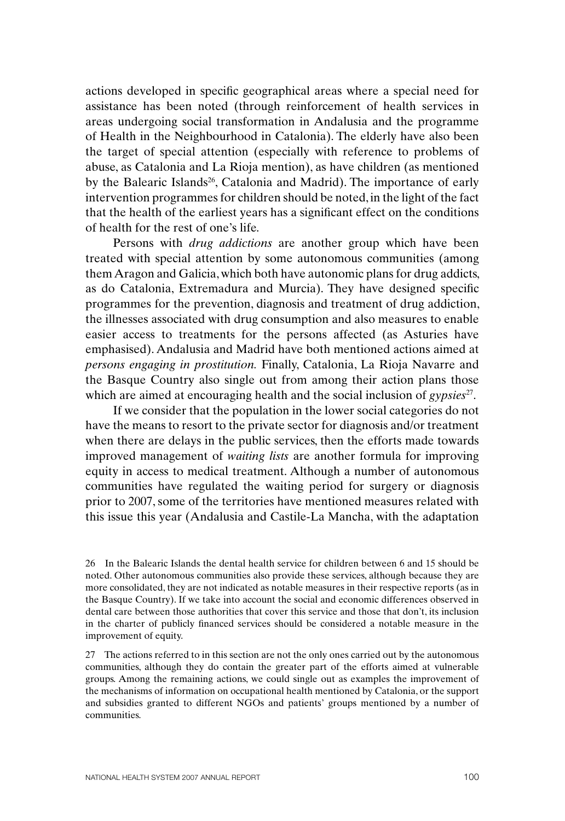actions developed in specific geographical areas where a special need for assistance has been noted (through reinforcement of health services in areas undergoing social transformation in Andalusia and the programme of Health in the Neighbourhood in Catalonia). The elderly have also been the target of special attention (especially with reference to problems of abuse, as Catalonia and La Rioja mention), as have children (as mentioned by the Balearic Islands<sup>26</sup>, Catalonia and Madrid). The importance of early intervention programmes for children should be noted, in the light of the fact that the health of the earliest years has a significant effect on the conditions of health for the rest of one's life.

Persons with *drug addictions* are another group which have been treated with special attention by some autonomous communities (among them Aragon and Galicia, which both have autonomic plans for drug addicts, as do Catalonia, Extremadura and Murcia). They have designed specific programmes for the prevention, diagnosis and treatment of drug addiction, the illnesses associated with drug consumption and also measures to enable easier access to treatments for the persons affected (as Asturies have emphasised). Andalusia and Madrid have both mentioned actions aimed at *persons engaging in prostitution.* Finally, Catalonia, La Rioja Navarre and the Basque Country also single out from among their action plans those which are aimed at encouraging health and the social inclusion of *gypsies*<sup>27</sup>.

If we consider that the population in the lower social categories do not have the means to resort to the private sector for diagnosis and/or treatment when there are delays in the public services, then the efforts made towards improved management of *waiting lists* are another formula for improving equity in access to medical treatment. Although a number of autonomous communities have regulated the waiting period for surgery or diagnosis prior to 2007, some of the territories have mentioned measures related with this issue this year (Andalusia and Castile-La Mancha, with the adaptation

27 The actions referred to in this section are not the only ones carried out by the autonomous communities, although they do contain the greater part of the efforts aimed at vulnerable groups. Among the remaining actions, we could single out as examples the improvement of the mechanisms of information on occupational health mentioned by Catalonia, or the support and subsidies granted to different NGOs and patients' groups mentioned by a number of communities.

<sup>26</sup> In the Balearic Islands the dental health service for children between 6 and 15 should be noted. Other autonomous communities also provide these services, although because they are more consolidated, they are not indicated as notable measures in their respective reports (as in the Basque Country). If we take into account the social and economic differences observed in dental care between those authorities that cover this service and those that don't, its inclusion in the charter of publicly financed services should be considered a notable measure in the improvement of equity.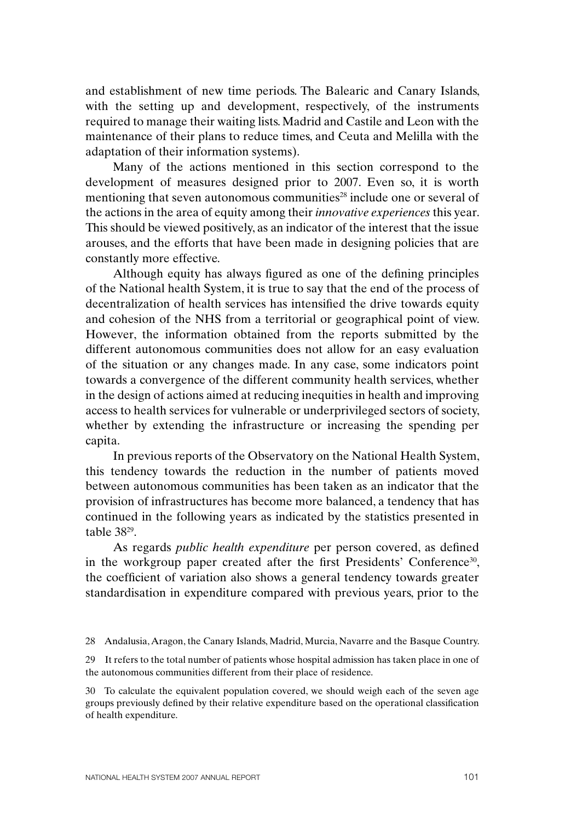and establishment of new time periods. The Balearic and Canary Islands, with the setting up and development, respectively, of the instruments required to manage their waiting lists. Madrid and Castile and Leon with the maintenance of their plans to reduce times, and Ceuta and Melilla with the adaptation of their information systems).

Many of the actions mentioned in this section correspond to the development of measures designed prior to 2007. Even so, it is worth mentioning that seven autonomous communities<sup>28</sup> include one or several of the actions in the area of equity among their *innovative experiences* this year. This should be viewed positively, as an indicator of the interest that the issue arouses, and the efforts that have been made in designing policies that are constantly more effective.

Although equity has always figured as one of the defining principles of the National health System, it is true to say that the end of the process of decentralization of health services has intensified the drive towards equity and cohesion of the NHS from a territorial or geographical point of view. However, the information obtained from the reports submitted by the different autonomous communities does not allow for an easy evaluation of the situation or any changes made. In any case, some indicators point towards a convergence of the different community health services, whether in the design of actions aimed at reducing inequities in health and improving access to health services for vulnerable or underprivileged sectors of society, whether by extending the infrastructure or increasing the spending per capita.

In previous reports of the Observatory on the National Health System, this tendency towards the reduction in the number of patients moved between autonomous communities has been taken as an indicator that the provision of infrastructures has become more balanced, a tendency that has continued in the following years as indicated by the statistics presented in table 3829.

As regards *public health expenditure* per person covered, as defined in the workgroup paper created after the first Presidents' Conference<sup>30</sup>, the coefficient of variation also shows a general tendency towards greater standardisation in expenditure compared with previous years, prior to the

<sup>28</sup> Andalusia, Aragon, the Canary Islands, Madrid, Murcia, Navarre and the Basque Country.

<sup>29</sup> It refers to the total number of patients whose hospital admission has taken place in one of the autonomous communities different from their place of residence.

<sup>30</sup> To calculate the equivalent population covered, we should weigh each of the seven age groups previously defined by their relative expenditure based on the operational classification of health expenditure.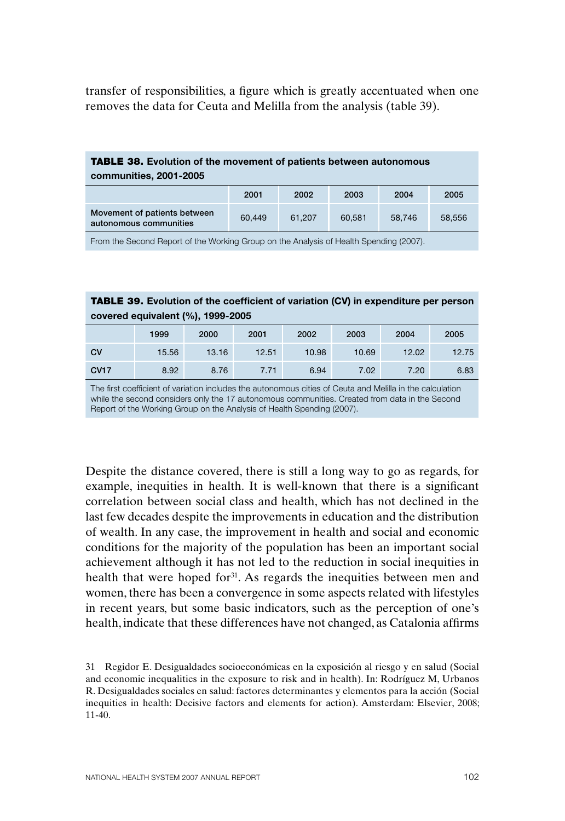transfer of responsibilities, a figure which is greatly accentuated when one removes the data for Ceuta and Melilla from the analysis (table 39).

## TABLE 38. **Evolution of the movement of patients between autonomous communities, 2001-2005**

|                                                        | 2001   | 2002   | 2003   | 2004   | 2005   |
|--------------------------------------------------------|--------|--------|--------|--------|--------|
| Movement of patients between<br>autonomous communities | 60.449 | 61.207 | 60.581 | 58.746 | 58.556 |

From the Second Report of the Working Group on the Analysis of Health Spending (2007).

## TABLE 39. **Evolution of the coefficient of variation (CV) in expenditure per person covered equivalent (%), 1999-2005**

|             | 1999  | 2000  | 2001  | 2002  | 2003  | 2004  | 2005  |
|-------------|-------|-------|-------|-------|-------|-------|-------|
| <b>CV</b>   | 15.56 | 13.16 | 12.51 | 10.98 | 10.69 | 12.02 | 12.75 |
| <b>CV17</b> | 8.92  | 8.76  | 7.71  | 6.94  | 7.02  | 7.20  | 6.83  |

The first coefficient of variation includes the autonomous cities of Ceuta and Melilla in the calculation while the second considers only the 17 autonomous communities. Created from data in the Second Report of the Working Group on the Analysis of Health Spending (2007).

Despite the distance covered, there is still a long way to go as regards, for example, inequities in health. It is well-known that there is a significant correlation between social class and health, which has not declined in the last few decades despite the improvements in education and the distribution of wealth. In any case, the improvement in health and social and economic conditions for the majority of the population has been an important social achievement although it has not led to the reduction in social inequities in health that were hoped for<sup>31</sup>. As regards the inequities between men and women, there has been a convergence in some aspects related with lifestyles in recent years, but some basic indicators, such as the perception of one's health, indicate that these differences have not changed, as Catalonia affirms

<sup>31</sup> Regidor E. Desigualdades socioeconómicas en la exposición al riesgo y en salud (Social and economic inequalities in the exposure to risk and in health). In: Rodríguez M, Urbanos R. Desigualdades sociales en salud: factores determinantes y elementos para la acción (Social inequities in health: Decisive factors and elements for action). Amsterdam: Elsevier, 2008; 11-40.